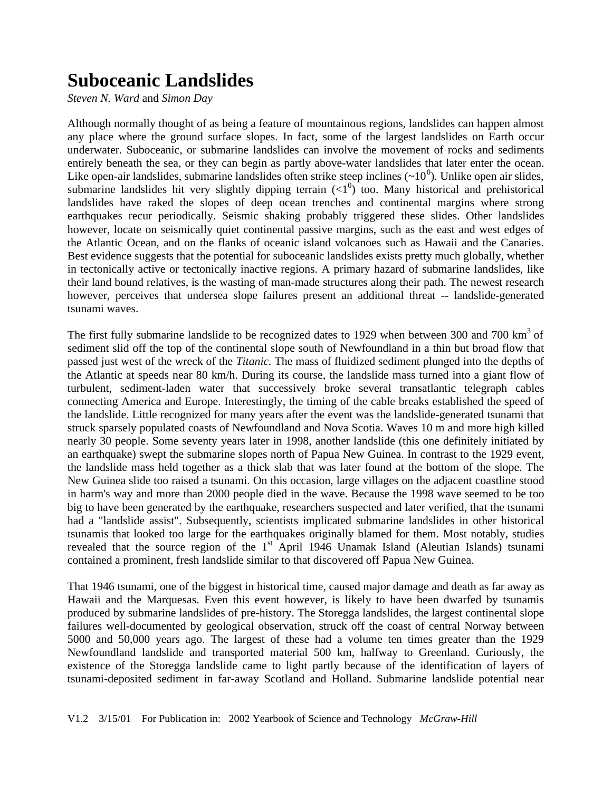## **Suboceanic Landslides**

*Steven N. Ward* and *Simon Day*

Although normally thought of as being a feature of mountainous regions, landslides can happen almost any place where the ground surface slopes. In fact, some of the largest landslides on Earth occur underwater. Suboceanic, or submarine landslides can involve the movement of rocks and sediments entirely beneath the sea, or they can begin as partly above-water landslides that later enter the ocean. Like open-air landslides, submarine landslides often strike steep inclines  $(\sim 10^0)$ . Unlike open air slides, submarine landslides hit very slightly dipping terrain  $\left(\langle 1^0 \rangle \right)$  too. Many historical and prehistorical landslides have raked the slopes of deep ocean trenches and continental margins where strong earthquakes recur periodically. Seismic shaking probably triggered these slides. Other landslides however, locate on seismically quiet continental passive margins, such as the east and west edges of the Atlantic Ocean, and on the flanks of oceanic island volcanoes such as Hawaii and the Canaries. Best evidence suggests that the potential for suboceanic landslides exists pretty much globally, whether in tectonically active or tectonically inactive regions. A primary hazard of submarine landslides, like their land bound relatives, is the wasting of man-made structures along their path. The newest research however, perceives that undersea slope failures present an additional threat -- landslide-generated tsunami waves.

The first fully submarine landslide to be recognized dates to 1929 when between 300 and 700  $\text{km}^3$  of sediment slid off the top of the continental slope south of Newfoundland in a thin but broad flow that passed just west of the wreck of the *Titanic.* The mass of fluidized sediment plunged into the depths of the Atlantic at speeds near 80 km/h. During its course, the landslide mass turned into a giant flow of turbulent, sediment-laden water that successively broke several transatlantic telegraph cables connecting America and Europe. Interestingly, the timing of the cable breaks established the speed of the landslide. Little recognized for many years after the event was the landslide-generated tsunami that struck sparsely populated coasts of Newfoundland and Nova Scotia. Waves 10 m and more high killed nearly 30 people. Some seventy years later in 1998, another landslide (this one definitely initiated by an earthquake) swept the submarine slopes north of Papua New Guinea. In contrast to the 1929 event, the landslide mass held together as a thick slab that was later found at the bottom of the slope. The New Guinea slide too raised a tsunami. On this occasion, large villages on the adjacent coastline stood in harm's way and more than 2000 people died in the wave. Because the 1998 wave seemed to be too big to have been generated by the earthquake, researchers suspected and later verified, that the tsunami had a "landslide assist". Subsequently, scientists implicated submarine landslides in other historical tsunamis that looked too large for the earthquakes originally blamed for them. Most notably, studies revealed that the source region of the  $1<sup>st</sup>$  April 1946 Unamak Island (Aleutian Islands) tsunami contained a prominent, fresh landslide similar to that discovered off Papua New Guinea.

That 1946 tsunami, one of the biggest in historical time, caused major damage and death as far away as Hawaii and the Marquesas. Even this event however, is likely to have been dwarfed by tsunamis produced by submarine landslides of pre-history. The Storegga landslides, the largest continental slope failures well-documented by geological observation, struck off the coast of central Norway between 5000 and 50,000 years ago. The largest of these had a volume ten times greater than the 1929 Newfoundland landslide and transported material 500 km, halfway to Greenland. Curiously, the existence of the Storegga landslide came to light partly because of the identification of layers of tsunami-deposited sediment in far-away Scotland and Holland. Submarine landslide potential near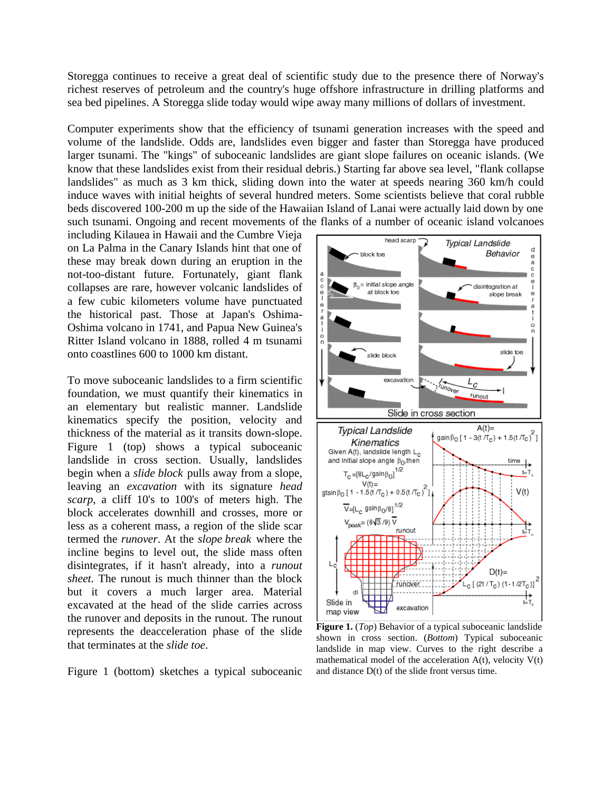Storegga continues to receive a great deal of scientific study due to the presence there of Norway's richest reserves of petroleum and the country's huge offshore infrastructure in drilling platforms and sea bed pipelines. A Storegga slide today would wipe away many millions of dollars of investment.

Computer experiments show that the efficiency of tsunami generation increases with the speed and volume of the landslide. Odds are, landslides even bigger and faster than Storegga have produced larger tsunami. The "kings" of suboceanic landslides are giant slope failures on oceanic islands. (We know that these landslides exist from their residual debris.) Starting far above sea level, "flank collapse landslides" as much as 3 km thick, sliding down into the water at speeds nearing 360 km/h could induce waves with initial heights of several hundred meters. Some scientists believe that coral rubble beds discovered 100-200 m up the side of the Hawaiian Island of Lanai were actually laid down by one such tsunami. Ongoing and recent movements of the flanks of a number of oceanic island volcanoes

including Kilauea in Hawaii and the Cumbre Vieja on La Palma in the Canary Islands hint that one of these may break down during an eruption in the not-too-distant future. Fortunately, giant flank collapses are rare, however volcanic landslides of a few cubic kilometers volume have punctuated the historical past. Those at Japan's Oshima-Oshima volcano in 1741, and Papua New Guinea's Ritter Island volcano in 1888, rolled 4 m tsunami onto coastlines 600 to 1000 km distant.

To move suboceanic landslides to a firm scientific foundation, we must quantify their kinematics in an elementary but realistic manner. Landslide kinematics specify the position, velocity and thickness of the material as it transits down-slope. Figure 1 (top) shows a typical suboceanic landslide in cross section. Usually, landslides begin when a *slide block* pulls away from a slope, leaving an *excavation* with its signature *head scarp*, a cliff 10's to 100's of meters high. The block accelerates downhill and crosses, more or less as a coherent mass, a region of the slide scar termed the *runover*. At the *slope break* where the incline begins to level out, the slide mass often disintegrates, if it hasn't already, into a *runout sheet.* The runout is much thinner than the block but it covers a much larger area. Material excavated at the head of the slide carries across the runover and deposits in the runout. The runout represents the deacceleration phase of the slide that terminates at the *slide toe*.

Figure 1 (bottom) sketches a typical suboceanic



**Figure 1.** (*Top*) Behavior of a typical suboceanic landslide shown in cross section. (*Bottom*) Typical suboceanic landslide in map view. Curves to the right describe a mathematical model of the acceleration  $A(t)$ , velocity  $V(t)$ and distance D(t) of the slide front versus time.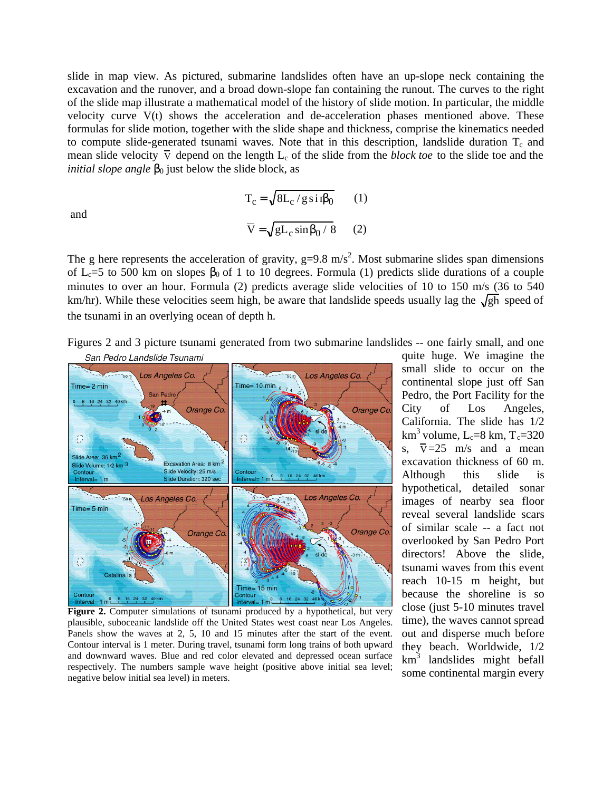slide in map view. As pictured, submarine landslides often have an up-slope neck containing the excavation and the runover, and a broad down-slope fan containing the runout. The curves to the right of the slide map illustrate a mathematical model of the history of slide motion. In particular, the middle velocity curve V(t) shows the acceleration and de-acceleration phases mentioned above. These formulas for slide motion, together with the slide shape and thickness, comprise the kinematics needed to compute slide-generated tsunami waves. Note that in this description, landslide duration  $T_c$  and mean slide velocity  $\overline{v}$  depend on the length  $L_c$  of the slide from the *block toe* to the slide toe and the *initial slope angle*  $\theta$  just below the slide block, as

and

$$
T_c = \sqrt{8L_c/g\sin\theta} \qquad (1)
$$
  

$$
\overline{V} = \sqrt{gL_c\sin\theta/8} \qquad (2)
$$

The g here represents the acceleration of gravity,  $g=9.8 \text{ m/s}^2$ . Most submarine slides span dimensions of  $L<sub>c</sub>=5$  to 500 km on slopes 0 of 1 to 10 degrees. Formula (1) predicts slide durations of a couple minutes to over an hour. Formula (2) predicts average slide velocities of 10 to 150 m/s (36 to 540 km/hr). While these velocities seem high, be aware that landslide speeds usually lag the  $\sqrt{gh}$  speed of the tsunami in an overlying ocean of depth h.





**Figure 2.** Computer simulations of tsunami produced by a hypothetical, but very plausible, suboceanic landslide off the United States west coast near Los Angeles. Panels show the waves at 2, 5, 10 and 15 minutes after the start of the event. Contour interval is 1 meter. During travel, tsunami form long trains of both upward and downward waves. Blue and red color elevated and depressed ocean surface respectively. The numbers sample wave height (positive above initial sea level; negative below initial sea level) in meters.

quite huge. We imagine the small slide to occur on the continental slope just off San Pedro, the Port Facility for the City of Los Angeles, California. The slide has 1/2 km $^3$  volume, L<sub>c</sub>=8 km, T<sub>c</sub>=320 s,  $\overline{v} = 25$  m/s and a mean excavation thickness of 60 m. Although this slide is hypothetical, detailed sonar images of nearby sea floor reveal several landslide scars of similar scale -- a fact not overlooked by San Pedro Port directors! Above the slide, tsunami waves from this event reach 10-15 m height, but because the shoreline is so close (just 5-10 minutes travel time), the waves cannot spread out and disperse much before they beach. Worldwide, 1/2 km<sup>3</sup> landslides might befall some continental margin every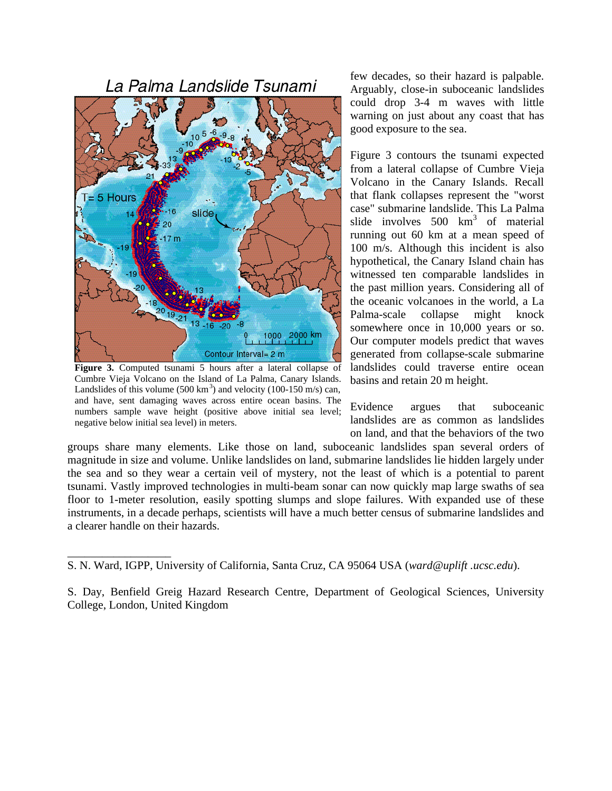## La Palma Landslide Tsunami



**Figure 3.** Computed tsunami 5 hours after a lateral collapse of Cumbre Vieja Volcano on the Island of La Palma, Canary Islands. Landslides of this volume  $(500 \text{ km}^3)$  and velocity  $(100-150 \text{ m/s})$  can, and have, sent damaging waves across entire ocean basins. The numbers sample wave height (positive above initial sea level; negative below initial sea level) in meters.

\_\_\_\_\_\_\_\_\_\_\_\_\_\_\_\_\_\_

few decades, so their hazard is palpable. Arguably, close-in suboceanic landslides could drop 3-4 m waves with little warning on just about any coast that has good exposure to the sea.

Figure 3 contours the tsunami expected from a lateral collapse of Cumbre Vieja Volcano in the Canary Islands. Recall that flank collapses represent the "worst case" submarine landslide. This La Palma slide involves  $500 \text{ km}^3$  of material running out 60 km at a mean speed of 100 m/s. Although this incident is also hypothetical, the Canary Island chain has witnessed ten comparable landslides in the past million years. Considering all of the oceanic volcanoes in the world, a La Palma-scale collapse might knock somewhere once in 10,000 years or so. Our computer models predict that waves generated from collapse-scale submarine landslides could traverse entire ocean basins and retain 20 m height.

Evidence argues that suboceanic landslides are as common as landslides on land, and that the behaviors of the two

groups share many elements. Like those on land, suboceanic landslides span several orders of magnitude in size and volume. Unlike landslides on land, submarine landslides lie hidden largely under the sea and so they wear a certain veil of mystery, not the least of which is a potential to parent tsunami. Vastly improved technologies in multi-beam sonar can now quickly map large swaths of sea floor to 1-meter resolution, easily spotting slumps and slope failures. With expanded use of these instruments, in a decade perhaps, scientists will have a much better census of submarine landslides and a clearer handle on their hazards.

S. N. Ward, IGPP, University of California, Santa Cruz, CA 95064 USA (*ward@uplift .ucsc.edu*).

S. Day, Benfield Greig Hazard Research Centre, Department of Geological Sciences, University College, London, United Kingdom